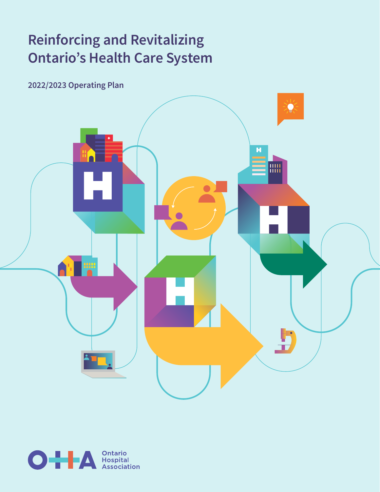# **Reinforcing and Revitalizing Ontario's Health Care System**

**2022/2023 Operating Plan**



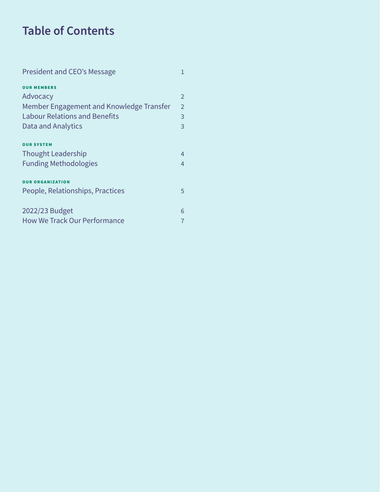# **Table of Contents**

| President and CEO's Message              | 1              |
|------------------------------------------|----------------|
| <b>OUR MEMBERS</b>                       |                |
| Advocacy                                 | $\overline{2}$ |
| Member Engagement and Knowledge Transfer | $\mathcal{P}$  |
| <b>Labour Relations and Benefits</b>     | 3              |
| Data and Analytics                       | 3              |
| <b>OUR SYSTEM</b>                        |                |
| <b>Thought Leadership</b>                | $\overline{4}$ |
| <b>Funding Methodologies</b>             | 4              |
| <b>OUR ORGANIZATION</b>                  |                |
| People, Relationships, Practices         | 5              |
| 2022/23 Budget                           | 6              |
| <b>How We Track Our Performance</b>      |                |
|                                          |                |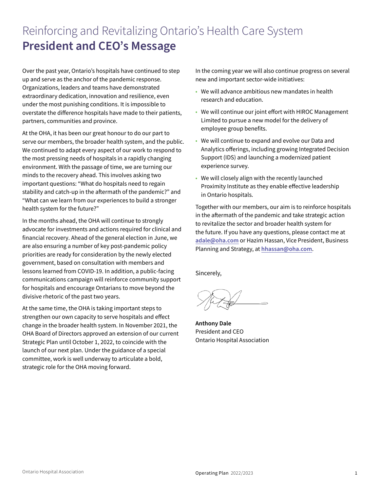# Reinforcing and Revitalizing Ontario's Health Care System **President and CEO's Message**

Over the past year, Ontario's hospitals have continued to step up and serve as the anchor of the pandemic response. Organizations, leaders and teams have demonstrated extraordinary dedication, innovation and resilience, even under the most punishing conditions. It is impossible to overstate the difference hospitals have made to their patients, partners, communities and province.

At the OHA, it has been our great honour to do our part to serve our members, the broader health system, and the public. We continued to adapt every aspect of our work to respond to the most pressing needs of hospitals in a rapidly changing environment. With the passage of time, we are turning our minds to the recovery ahead. This involves asking two important questions: "What do hospitals need to regain stability and catch-up in the aftermath of the pandemic?" and "What can we learn from our experiences to build a stronger health system for the future?"

In the months ahead, the OHA will continue to strongly advocate for investments and actions required for clinical and financial recovery. Ahead of the general election in June, we are also ensuring a number of key post-pandemic policy priorities are ready for consideration by the newly elected government, based on consultation with members and lessons learned from COVID-19. In addition, a public-facing communications campaign will reinforce community support for hospitals and encourage Ontarians to move beyond the divisive rhetoric of the past two years.

At the same time, the OHA is taking important steps to strengthen our own capacity to serve hospitals and effect change in the broader health system. In November 2021, the OHA Board of Directors approved an extension of our current Strategic Plan until October 1, 2022, to coincide with the launch of our next plan. Under the guidance of a special committee, work is well underway to articulate a bold, strategic role for the OHA moving forward.

In the coming year we will also continue progress on several new and important sector-wide initiatives:

- We will advance ambitious new mandates in health research and education.
- We will continue our joint effort with HIROC Management Limited to pursue a new model for the delivery of employee group benefits.
- We will continue to expand and evolve our Data and Analytics offerings, including growing Integrated Decision Support (IDS) and launching a modernized patient experience survey.
- We will closely align with the recently launched Proximity Institute as they enable effective leadership in Ontario hospitals.

Together with our members, our aim is to reinforce hospitals in the aftermath of the pandemic and take strategic action to revitalize the sector and broader health system for the future. If you have any questions, please contact me at **[adale@oha.com](mailto:adale%40oha.com?subject=)** or Hazim Hassan, Vice President, Business Planning and Strategy, at **[hhassan@oha.com](mailto:hhassan%40oha.com?subject=)**.

Sincerely,

**Anthony Dale** President and CEO Ontario Hospital Association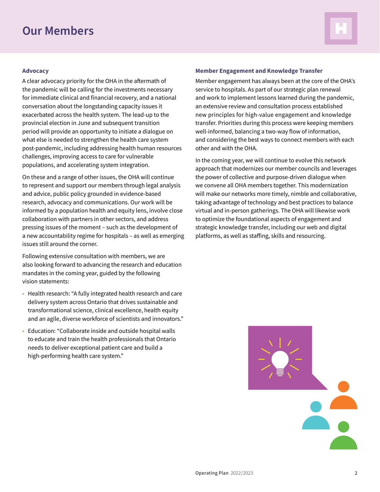### **Our Members**



#### **Advocacy**

A clear advocacy priority for the OHA in the aftermath of the pandemic will be calling for the investments necessary for immediate clinical and financial recovery, and a national conversation about the longstanding capacity issues it exacerbated across the health system. The lead-up to the provincial election in June and subsequent transition period will provide an opportunity to initiate a dialogue on what else is needed to strengthen the health care system post-pandemic, including addressing health human resources challenges, improving access to care for vulnerable populations, and accelerating system integration.

On these and a range of other issues, the OHA will continue to represent and support our members through legal analysis and advice, public policy grounded in evidence-based research, advocacy and communications. Our work will be informed by a population health and equity lens, involve close collaboration with partners in other sectors, and address pressing issues of the moment – such as the development of a new accountability regime for hospitals – as well as emerging issues still around the corner.

Following extensive consultation with members, we are also looking forward to advancing the research and education mandates in the coming year, guided by the following vision statements:

- Health research: "A fully integrated health research and care delivery system across Ontario that drives sustainable and transformational science, clinical excellence, health equity and an agile, diverse workforce of scientists and innovators."
- Education: "Collaborate inside and outside hospital walls to educate and train the health professionals that Ontario needs to deliver exceptional patient care and build a high-performing health care system."

#### **Member Engagement and Knowledge Transfer**

Member engagement has always been at the core of the OHA's service to hospitals. As part of our strategic plan renewal and work to implement lessons learned during the pandemic, an extensive review and consultation process established new principles for high-value engagement and knowledge transfer. Priorities during this process were keeping members well-informed, balancing a two-way flow of information, and considering the best ways to connect members with each other and with the OHA.

In the coming year, we will continue to evolve this network approach that modernizes our member councils and leverages the power of collective and purpose-driven dialogue when we convene all OHA members together. This modernization will make our networks more timely, nimble and collaborative, taking advantage of technology and best practices to balance virtual and in-person gatherings. The OHA will likewise work to optimize the foundational aspects of engagement and strategic knowledge transfer, including our web and digital platforms, as well as staffing, skills and resourcing.

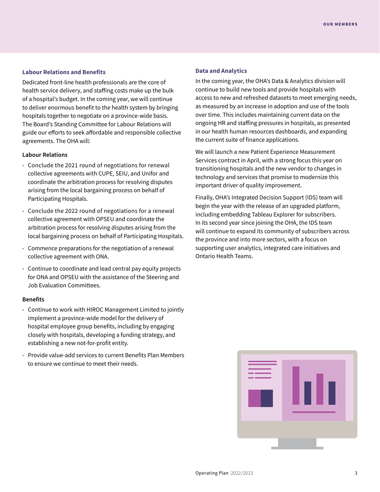#### **Labour Relations and Benefits**

Dedicated front-line health professionals are the core of health service delivery, and staffing costs make up the bulk of a hospital's budget. In the coming year, we will continue to deliver enormous benefit to the health system by bringing hospitals together to negotiate on a province-wide basis. The Board's Standing Committee for Labour Relations will guide our efforts to seek affordable and responsible collective agreements. The OHA will:

#### **Labour Relations**

- Conclude the 2021 round of negotiations for renewal collective agreements with CUPE, SEIU, and Unifor and coordinate the arbitration process for resolving disputes arising from the local bargaining process on behalf of Participating Hospitals.
- Conclude the 2022 round of negotiations for a renewal collective agreement with OPSEU and coordinate the arbitration process for resolving disputes arising from the local bargaining process on behalf of Participating Hospitals.
- Commence preparations for the negotiation of a renewal collective agreement with ONA.
- Continue to coordinate and lead central pay equity projects for ONA and OPSEU with the assistance of the Steering and Job Evaluation Committees.

#### **Benefits**

- Continue to work with HIROC Management Limited to jointly implement a province-wide model for the delivery of hospital employee group benefits, including by engaging closely with hospitals, developing a funding strategy, and establishing a new not-for-profit entity.
- Provide value-add services to current Benefits Plan Members to ensure we continue to meet their needs.

#### **Data and Analytics**

In the coming year, the OHA's Data & Analytics division will continue to build new tools and provide hospitals with access to new and refreshed datasets to meet emerging needs, as measured by an increase in adoption and use of the tools over time. This includes maintaining current data on the ongoing HR and staffing pressures in hospitals, as presented in our health human resources dashboards, and expanding the current suite of finance applications.

We will launch a new Patient Experience Measurement Services contract in April, with a strong focus this year on transitioning hospitals and the new vendor to changes in technology and services that promise to modernize this important driver of quality improvement.

Finally, OHA's Integrated Decision Support (IDS) team will begin the year with the release of an upgraded platform, including embedding Tableau Explorer for subscribers. In its second year since joining the OHA, the IDS team will continue to expand its community of subscribers across the province and into more sectors, with a focus on supporting user analytics, integrated care initiatives and Ontario Health Teams.

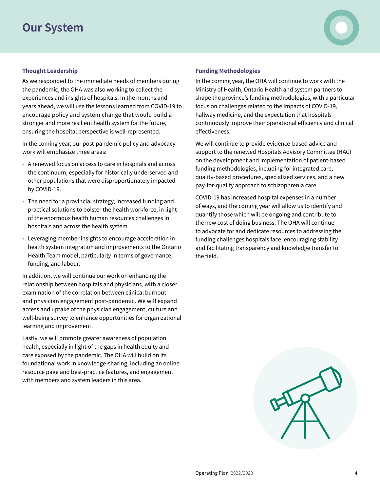### **Our System**

#### **Thought Leadership**

As we responded to the immediate needs of members during the pandemic, the OHA was also working to collect the experiences and insights of hospitals. In the months and years ahead, we will use the lessons learned from COVID-19 to encourage policy and system change that would build a stronger and more resilient health system for the future, ensuring the hospital perspective is well-represented.

In the coming year, our post-pandemic policy and advocacy work will emphasize three areas:

- A renewed focus on access to care in hospitals and across the continuum, especially for historically underserved and other populations that were disproportionately impacted by COVID-19.
- The need for a provincial strategy, increased funding and practical solutions to bolster the health workforce, in light of the enormous health human resources challenges in hospitals and across the health system.
- Leveraging member insights to encourage acceleration in health system integration and improvements to the Ontario Health Team model, particularly in terms of governance, funding, and labour.

In addition, we will continue our work on enhancing the relationship between hospitals and physicians, with a closer examination of the correlation between clinical burnout and physician engagement post-pandemic. We will expand access and uptake of the physician engagement, culture and well-being survey to enhance opportunities for organizational learning and improvement.

Lastly, we will promote greater awareness of population health, especially in light of the gaps in health equity and care exposed by the pandemic. The OHA will build on its foundational work in knowledge-sharing, including an online resource page and best-practice features, and engagement with members and system leaders in this area.

#### **Funding Methodologies**

In the coming year, the OHA will continue to work with the Ministry of Health, Ontario Health and system partners to shape the province's funding methodologies, with a particular focus on challenges related to the impacts of COVID-19, hallway medicine, and the expectation that hospitals continuously improve their operational efficiency and clinical effectiveness.

We will continue to provide evidence-based advice and support to the renewed Hospitals Advisory Committee (HAC) on the development and implementation of patient-based funding methodologies, including for integrated care, quality-based procedures, specialized services, and a new pay-for-quality approach to schizophrenia care.

COVID-19 has increased hospital expenses in a number of ways, and the coming year will allow us to identify and quantify those which will be ongoing and contribute to the new cost of doing business. The OHA will continue to advocate for and dedicate resources to addressing the funding challenges hospitals face, encouraging stability and facilitating transparency and knowledge transfer to the field.

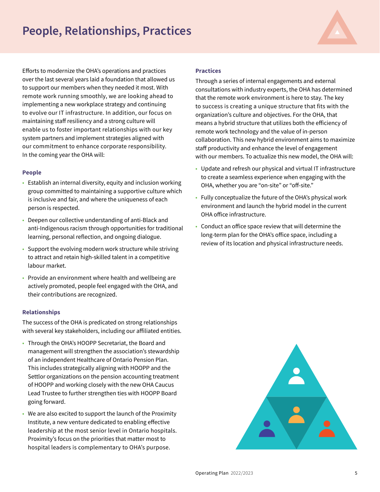# **People, Relationships, Practices**

OUR ORGANIZATION

Efforts to modernize the OHA's operations and practices over the last several years laid a foundation that allowed us to support our members when they needed it most. With remote work running smoothly, we are looking ahead to implementing a new workplace strategy and continuing to evolve our IT infrastructure. In addition, our focus on maintaining staff resiliency and a strong culture will enable us to foster important relationships with our key system partners and implement strategies aligned with our commitment to enhance corporate responsibility. In the coming year the OHA will:

#### **People**

- Establish an internal diversity, equity and inclusion working group committed to maintaining a supportive culture which is inclusive and fair, and where the uniqueness of each person is respected.
- Deepen our collective understanding of anti-Black and anti-Indigenous racism through opportunities for traditional learning, personal reflection, and ongoing dialogue.
- Support the evolving modern work structure while striving to attract and retain high-skilled talent in a competitive labour market.
- Provide an environment where health and wellbeing are actively promoted, people feel engaged with the OHA, and their contributions are recognized.

#### **Relationships**

The success of the OHA is predicated on strong relationships with several key stakeholders, including our affiliated entities.

- Through the OHA's HOOPP Secretariat, the Board and management will strengthen the association's stewardship of an independent Healthcare of Ontario Pension Plan. This includes strategically aligning with HOOPP and the Settlor organizations on the pension accounting treatment of HOOPP and working closely with the new OHA Caucus Lead Trustee to further strengthen ties with HOOPP Board going forward.
- We are also excited to support the launch of the Proximity Institute, a new venture dedicated to enabling effective leadership at the most senior level in Ontario hospitals. Proximity's focus on the priorities that matter most to hospital leaders is complementary to OHA's purpose.

#### **Practices**

Through a series of internal engagements and external consultations with industry experts, the OHA has determined that the remote work environment is here to stay. The key to success is creating a unique structure that fits with the organization's culture and objectives. For the OHA, that means a hybrid structure that utilizes both the efficiency of remote work technology and the value of in-person collaboration. This new hybrid environment aims to maximize staff productivity and enhance the level of engagement with our members. To actualize this new model, the OHA will:

- Update and refresh our physical and virtual IT infrastructure to create a seamless experience when engaging with the OHA, whether you are "on-site" or "off-site."
- Fully conceptualize the future of the OHA's physical work environment and launch the hybrid model in the current OHA office infrastructure.
- Conduct an office space review that will determine the long-term plan for the OHA's office space, including a review of its location and physical infrastructure needs.

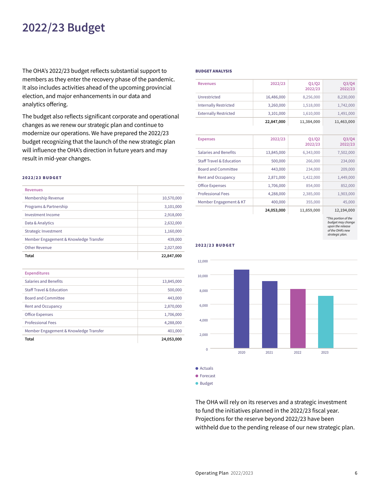### **2022/23 Budget**

The OHA's 2022/23 budget reflects substantial support to members as they enter the recovery phase of the pandemic. It also includes activities ahead of the upcoming provincial election, and major enhancements in our data and analytics offering.

The budget also reflects significant corporate and operational changes as we renew our strategic plan and continue to modernize our operations. We have prepared the 2022/23 budget recognizing that the launch of the new strategic plan will influence the OHA's direction in future years and may result in mid-year changes.

#### 2022/23 BUDGET

| <b>Revenues</b>                        |            |
|----------------------------------------|------------|
| Membership Revenue                     | 10,570,000 |
| Programs & Partnership                 | 3,101,000  |
| Investment Income                      | 2,918,000  |
| Data & Analytics                       | 2,632,000  |
| Strategic Investment                   | 1,160,000  |
| Member Engagement & Knowledge Transfer | 439,000    |
| <b>Other Revenue</b>                   | 2,027,000  |
| Total                                  | 22,847,000 |

| <b>Expenditures</b>                    |            |
|----------------------------------------|------------|
| Salaries and Benefits                  | 13,845,000 |
| <b>Staff Travel &amp; Education</b>    | 500,000    |
| <b>Board and Committee</b>             | 443,000    |
| <b>Rent and Occupancy</b>              | 2,870,000  |
| <b>Office Expenses</b>                 | 1,706,000  |
| <b>Professional Fees</b>               | 4,288,000  |
| Member Engagement & Knowledge Transfer | 401,000    |
| Total                                  | 24,053,000 |

#### BUDGET ANALYSIS

| <b>Revenues</b>              | 2022/23    | Q1/Q2<br>2022/23 | Q3/Q4<br>2022/23 |
|------------------------------|------------|------------------|------------------|
| Unrestricted                 | 16,486,000 | 8,256,000        | 8,230,000        |
| <b>Internally Restricted</b> | 3,260,000  | 1,518,000        | 1,742,000        |
| <b>Externally Restricted</b> | 3,101,000  | 1,610,000        | 1,491,000        |
|                              | 22,847,000 | 11,384,000       | 11,463,000       |

|                                     |            |                  | *This portion of the |
|-------------------------------------|------------|------------------|----------------------|
|                                     | 24,053,000 | 11,859,000       | 12,194,000           |
| Member Engagement & KT              | 400,000    | 355,000          | 45,000               |
| <b>Professional Fees</b>            | 4,288,000  | 2,385,000        | 1,903,000            |
| <b>Office Expenses</b>              | 1,706,000  | 854,000          | 852,000              |
| <b>Rent and Occupancy</b>           | 2,871,000  | 1.422.000        | 1,449,000            |
| <b>Board and Committee</b>          | 443,000    | 234,000          | 209,000              |
| <b>Staff Travel &amp; Education</b> | 500,000    | 266,000          | 234,000              |
| Salaries and Benefits               | 13,845,000 | 6,343,000        | 7,502,000            |
| <b>Expenses</b>                     | 2022/23    | Q1/Q2<br>2022/23 | 03/04<br>2022/23     |

*\*This portion of the budget may change upon the release of the OHA's new strategic plan.*



#### 2022/23 BUDGET

**Budget** 

The OHA will rely on its reserves and a strategic investment to fund the initiatives planned in the 2022/23 fiscal year. Projections for the reserve beyond 2022/23 have been withheld due to the pending release of our new strategic plan.